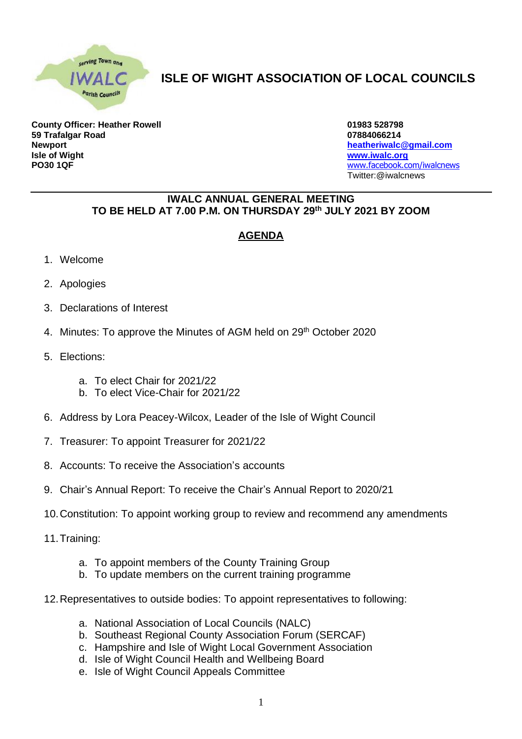

## **ISLE OF WIGHT ASSOCIATION OF LOCAL COUNCILS**

**County Officer: Heather Rowell 01983 528798 59 Trafalgar Road 07884066214 Newport [heatheriwalc@gmail.com](mailto:heatheriwalc@gmail.com) Isle of Wight [www.iwalc.org](http://www.iwalc.org/) PO30 1QF** [www.facebook.com/iwalcnews](http://www.facebook.com/iwalcnews)

Twitter:@iwalcnews

## **IWALC ANNUAL GENERAL MEETING TO BE HELD AT 7.00 P.M. ON THURSDAY 29 th JULY 2021 BY ZOOM**

## **AGENDA**

- 1. Welcome
- 2. Apologies
- 3. Declarations of Interest
- 4. Minutes: To approve the Minutes of AGM held on 29<sup>th</sup> October 2020
- 5. Elections:
	- a. To elect Chair for 2021/22
	- b. To elect Vice-Chair for 2021/22
- 6. Address by Lora Peacey-Wilcox, Leader of the Isle of Wight Council
- 7. Treasurer: To appoint Treasurer for 2021/22
- 8. Accounts: To receive the Association's accounts
- 9. Chair's Annual Report: To receive the Chair's Annual Report to 2020/21
- 10.Constitution: To appoint working group to review and recommend any amendments
- 11.Training:
	- a. To appoint members of the County Training Group
	- b. To update members on the current training programme
- 12.Representatives to outside bodies: To appoint representatives to following:
	- a. National Association of Local Councils (NALC)
	- b. Southeast Regional County Association Forum (SERCAF)
	- c. Hampshire and Isle of Wight Local Government Association
	- d. Isle of Wight Council Health and Wellbeing Board
	- e. Isle of Wight Council Appeals Committee